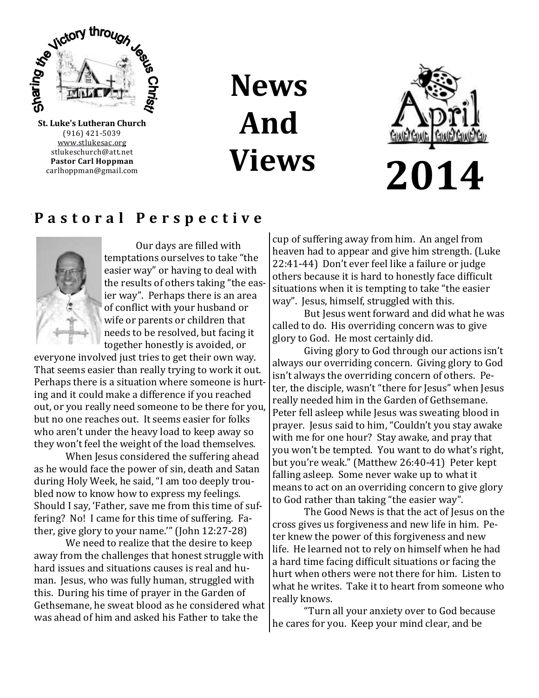

(916) 421-5039 [www.stlukesac.org](http://www.luther95.net/SLLC-SCA) stlukeschurch@att.net **Pastor Carl Hoppman** carlhoppman@gmail.com

**News And Views**



### **P a s t o r a l P e r s p e c t i v e**



Our days are filled with temptations ourselves to take "the easier way" or having to deal with the results of others taking "the easier way". Perhaps there is an area of conflict with your husband or wife or parents or children that needs to be resolved, but facing it together honestly is avoided, or

everyone involved just tries to get their own way. That seems easier than really trying to work it out. Perhaps there is a situation where someone is hurting and it could make a difference if you reached out, or you really need someone to be there for you, but no one reaches out. It seems easier for folks who aren't under the heavy load to keep away so they won't feel the weight of the load themselves.

When Jesus considered the suffering ahead as he would face the power of sin, death and Satan during Holy Week, he said, "I am too deeply troubled now to know how to express my feelings. Should I say, 'Father, save me from this time of suffering? No! I came for this time of suffering. Father, give glory to your name.'" (John 12:27-28)

We need to realize that the desire to keep away from the challenges that honest struggle with hard issues and situations causes is real and human. Jesus, who was fully human, struggled with this. During his time of prayer in the Garden of Gethsemane, he sweat blood as he considered what was ahead of him and asked his Father to take the

cup of suffering away from him. An angel from heaven had to appear and give him strength. (Luke 22:41-44) Don't ever feel like a failure or judge others because it is hard to honestly face difficult situations when it is tempting to take "the easier way". Jesus, himself, struggled with this.

But Jesus went forward and did what he was called to do. His overriding concern was to give glory to God. He most certainly did.

Giving glory to God through our actions isn't always our overriding concern. Giving glory to God isn't always the overriding concern of others. Peter, the disciple, wasn't "there for Jesus" when Jesus really needed him in the Garden of Gethsemane. Peter fell asleep while Jesus was sweating blood in prayer. Jesus said to him, "Couldn't you stay awake with me for one hour? Stay awake, and pray that you won't be tempted. You want to do what's right, but you're weak." (Matthew 26:40-41) Peter kept falling asleep. Some never wake up to what it means to act on an overriding concern to give glory to God rather than taking "the easier way".

The Good News is that the act of Jesus on the cross gives us forgiveness and new life in him. Peter knew the power of this forgiveness and new life. He learned not to rely on himself when he had a hard time facing difficult situations or facing the hurt when others were not there for him. Listen to what he writes. Take it to heart from someone who really knows.

"Turn all your anxiety over to God because he cares for you. Keep your mind clear, and be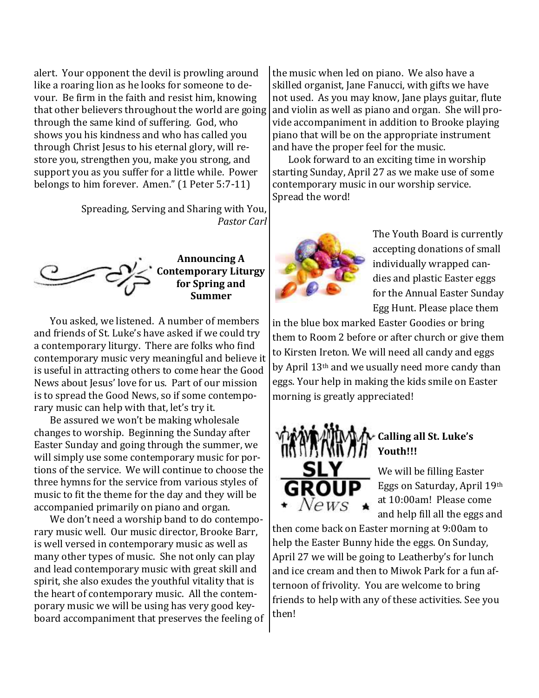alert. Your opponent the devil is prowling around like a roaring lion as he looks for someone to devour. Be firm in the faith and resist him, knowing that other believers throughout the world are going through the same kind of suffering. God, who shows you his kindness and who has called you through Christ Jesus to his eternal glory, will restore you, strengthen you, make you strong, and support you as you suffer for a little while. Power belongs to him forever. Amen." (1 Peter 5:7-11)

> Spreading, Serving and Sharing with You, *Pastor Carl*



### **Announcing A Contemporary Liturgy for Spring and Summer**

You asked, we listened. A number of members and friends of St. Luke's have asked if we could try a contemporary liturgy. There are folks who find contemporary music very meaningful and believe it is useful in attracting others to come hear the Good News about Jesus' love for us. Part of our mission is to spread the Good News, so if some contemporary music can help with that, let's try it.

Be assured we won't be making wholesale changes to worship. Beginning the Sunday after Easter Sunday and going through the summer, we will simply use some contemporary music for portions of the service. We will continue to choose the three hymns for the service from various styles of music to fit the theme for the day and they will be accompanied primarily on piano and organ.

We don't need a worship band to do contemporary music well. Our music director, Brooke Barr, is well versed in contemporary music as well as many other types of music. She not only can play and lead contemporary music with great skill and spirit, she also exudes the youthful vitality that is the heart of contemporary music. All the contemporary music we will be using has very good keyboard accompaniment that preserves the feeling of the music when led on piano. We also have a skilled organist, Jane Fanucci, with gifts we have not used. As you may know, Jane plays guitar, flute and violin as well as piano and organ. She will provide accompaniment in addition to Brooke playing piano that will be on the appropriate instrument and have the proper feel for the music.

Look forward to an exciting time in worship starting Sunday, April 27 as we make use of some contemporary music in our worship service. Spread the word!



The Youth Board is currently accepting donations of small individually wrapped candies and plastic Easter eggs for the Annual Easter Sunday Egg Hunt. Please place them

in the blue box marked Easter Goodies or bring them to Room 2 before or after church or give them to Kirsten Ireton. We will need all candy and eggs by April 13th and we usually need more candy than eggs. Your help in making the kids smile on Easter morning is greatly appreciated!



We will be filling Easter Eggs on Saturday, April 19th at 10:00am! Please come

and help fill all the eggs and

then come back on Easter morning at 9:00am to help the Easter Bunny hide the eggs. On Sunday, April 27 we will be going to Leatherby's for lunch and ice cream and then to Miwok Park for a fun afternoon of frivolity. You are welcome to bring friends to help with any of these activities. See you then!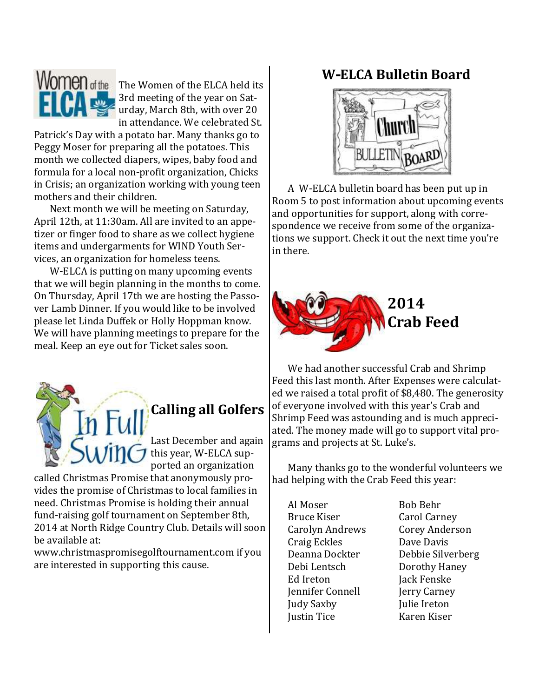

**Women** of the The Women of the ELCA held its 3rd meeting of the year on Saturday, March 8th, with over 20 in attendance. We celebrated St.

Patrick's Day with a potato bar. Many thanks go to Peggy Moser for preparing all the potatoes. This month we collected diapers, wipes, baby food and formula for a local non-profit organization, Chicks in Crisis; an organization working with young teen mothers and their children.

Next month we will be meeting on Saturday, April 12th, at 11:30am. All are invited to an appetizer or finger food to share as we collect hygiene items and undergarments for WIND Youth Services, an organization for homeless teens.

W-ELCA is putting on many upcoming events that we will begin planning in the months to come. On Thursday, April 17th we are hosting the Passover Lamb Dinner. If you would like to be involved please let Linda Duffek or Holly Hoppman know. We will have planning meetings to prepare for the meal. Keep an eye out for Ticket sales soon.



# **Calling all Golfers**

Last December and again  $\bigtriangledown$  this year, W-ELCA supported an organization

called Christmas Promise that anonymously provides the promise of Christmas to local families in need. Christmas Promise is holding their annual fund-raising golf tournament on September 8th, 2014 at North Ridge Country Club. Details will soon be available at:

www.christmaspromisegolftournament.com if you are interested in supporting this cause.

## **W-ELCA Bulletin Board**



A W-ELCA bulletin board has been put up in Room 5 to post information about upcoming events and opportunities for support, along with correspondence we receive from some of the organizations we support. Check it out the next time you're in there.



We had another successful Crab and Shrimp Feed this last month. After Expenses were calculated we raised a total profit of \$8,480. The generosity of everyone involved with this year's Crab and Shrimp Feed was astounding and is much appreciated. The money made will go to support vital programs and projects at St. Luke's.

Many thanks go to the wonderful volunteers we had helping with the Crab Feed this year:

Al Moser Bob Behr Bruce Kiser Carol Carney Carolyn Andrews Corey Anderson Craig Eckles Dave Davis Debi Lentsch Dorothy Haney Ed Ireton Jack Fenske Jennifer Connell Jerry Carney Judy Saxby Julie Ireton Justin Tice Karen Kiser

Deanna Dockter Debbie Silverberg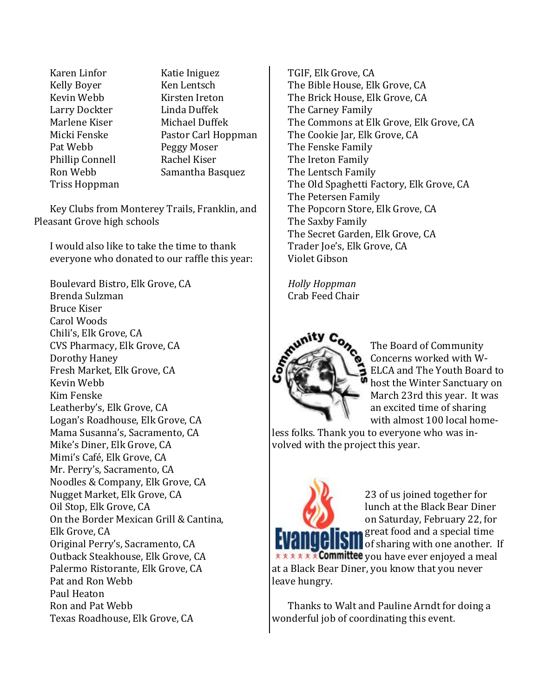Karen Linfor Katie Iniguez Kelly Boyer Ken Lentsch Kevin Webb Kirsten Ireton Larry Dockter Linda Duffek Marlene Kiser Michael Duffek Pat Webb Peggy Moser Phillip Connell Rachel Kiser Triss Hoppman

Micki Fenske Pastor Carl Hoppman Ron Webb Samantha Basquez

Key Clubs from Monterey Trails, Franklin, and Pleasant Grove high schools

I would also like to take the time to thank everyone who donated to our raffle this year:

Boulevard Bistro, Elk Grove, CA Brenda Sulzman Bruce Kiser Carol Woods Chili's, Elk Grove, CA CVS Pharmacy, Elk Grove, CA Dorothy Haney Fresh Market, Elk Grove, CA Kevin Webb Kim Fenske Leatherby's, Elk Grove, CA Logan's Roadhouse, Elk Grove, CA Mama Susanna's, Sacramento, CA Mike's Diner, Elk Grove, CA Mimi's Café, Elk Grove, CA Mr. Perry's, Sacramento, CA Noodles & Company, Elk Grove, CA Nugget Market, Elk Grove, CA Oil Stop, Elk Grove, CA On the Border Mexican Grill & Cantina, Elk Grove, CA Original Perry's, Sacramento, CA Outback Steakhouse, Elk Grove, CA Palermo Ristorante, Elk Grove, CA Pat and Ron Webb Paul Heaton Ron and Pat Webb Texas Roadhouse, Elk Grove, CA

TGIF, Elk Grove, CA The Bible House, Elk Grove, CA The Brick House, Elk Grove, CA The Carney Family The Commons at Elk Grove, Elk Grove, CA The Cookie Jar, Elk Grove, CA The Fenske Family The Ireton Family The Lentsch Family The Old Spaghetti Factory, Elk Grove, CA The Petersen Family The Popcorn Store, Elk Grove, CA The Saxby Family The Secret Garden, Elk Grove, CA Trader Joe's, Elk Grove, CA Violet Gibson

*Holly Hoppman* Crab Feed Chair



The Board of Community Concerns worked with W-ELCA and The Youth Board to host the Winter Sanctuary on March 23rd this year. It was an excited time of sharing with almost 100 local home-

less folks. Thank you to everyone who was involved with the project this year.



23 of us joined together for lunch at the Black Bear Diner on Saturday, February 22, for great food and a special time of sharing with one another. If **x x x x x x Committee** you have ever enjoyed a meal at a Black Bear Diner, you know that you never

Thanks to Walt and Pauline Arndt for doing a wonderful job of coordinating this event.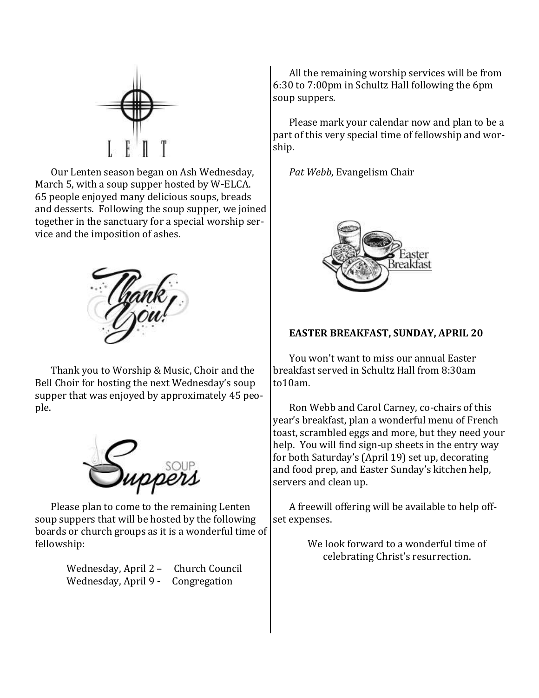

Our Lenten season began on Ash Wednesday, March 5, with a soup supper hosted by W-ELCA. 65 people enjoyed many delicious soups, breads and desserts. Following the soup supper, we joined together in the sanctuary for a special worship service and the imposition of ashes.



Thank you to Worship & Music, Choir and the Bell Choir for hosting the next Wednesday's soup supper that was enjoyed by approximately 45 people.



Please plan to come to the remaining Lenten soup suppers that will be hosted by the following boards or church groups as it is a wonderful time of fellowship:

> Wednesday, April 2 – Church Council Wednesday, April 9 - Congregation

All the remaining worship services will be from 6:30 to 7:00pm in Schultz Hall following the 6pm soup suppers.

Please mark your calendar now and plan to be a part of this very special time of fellowship and worship.

*Pat Webb*, Evangelism Chair



#### **EASTER BREAKFAST, SUNDAY, APRIL 20**

You won't want to miss our annual Easter breakfast served in Schultz Hall from 8:30am to10am.

Ron Webb and Carol Carney, co-chairs of this year's breakfast, plan a wonderful menu of French toast, scrambled eggs and more, but they need your help. You will find sign-up sheets in the entry way for both Saturday's (April 19) set up, decorating and food prep, and Easter Sunday's kitchen help, servers and clean up.

A freewill offering will be available to help offset expenses.

> We look forward to a wonderful time of celebrating Christ's resurrection.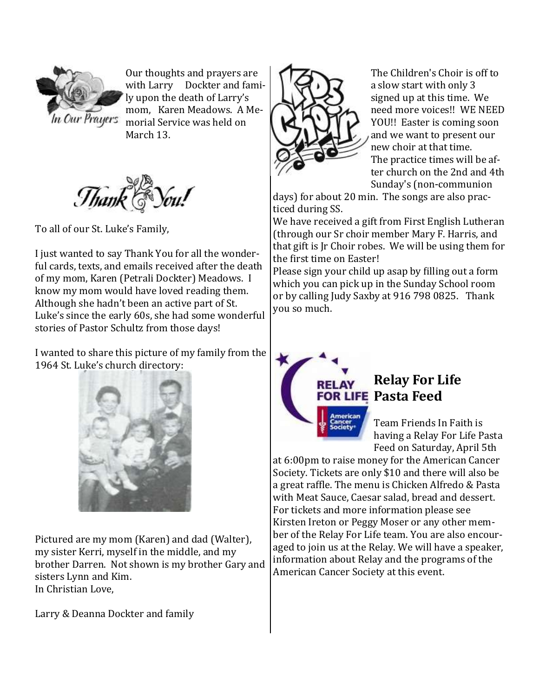

Our thoughts and prayers are with Larry Dockter and family upon the death of Larry's mom, Karen Meadows. A Me-In Our Prayers morial Service was held on March 13.



To all of our St. Luke's Family,

I just wanted to say Thank You for all the wonderful cards, texts, and emails received after the death of my mom, Karen (Petrali Dockter) Meadows. I know my mom would have loved reading them. Although she hadn't been an active part of St. Luke's since the early 60s, she had some wonderful stories of Pastor Schultz from those days!

I wanted to share this picture of my family from the 1964 St. Luke's church directory:



Pictured are my mom (Karen) and dad (Walter), my sister Kerri, myself in the middle, and my brother Darren. Not shown is my brother Gary and sisters Lynn and Kim. In Christian Love,

Larry & Deanna Dockter and family



The Children's Choir is off to a slow start with only 3 signed up at this time. We need more voices!! WE NEED YOU!! Easter is coming soon and we want to present our new choir at that time. The practice times will be after church on the 2nd and 4th Sunday's (non-communion

days) for about 20 min. The songs are also practiced during SS.

We have received a gift from First English Lutheran (through our Sr choir member Mary F. Harris, and that gift is Jr Choir robes. We will be using them for the first time on Easter!

Please sign your child up asap by filling out a form which you can pick up in the Sunday School room or by calling Judy Saxby at 916 798 0825. Thank you so much.



## **Relay For Life FOR LIFE Pasta Feed**

Team Friends In Faith is having a Relay For Life Pasta Feed on Saturday, April 5th

at 6:00pm to raise money for the American Cancer Society. Tickets are only \$10 and there will also be a great raffle. The menu is Chicken Alfredo & Pasta with Meat Sauce, Caesar salad, bread and dessert. For tickets and more information please see Kirsten Ireton or Peggy Moser or any other member of the Relay For Life team. You are also encouraged to join us at the Relay. We will have a speaker, information about Relay and the programs of the American Cancer Society at this event.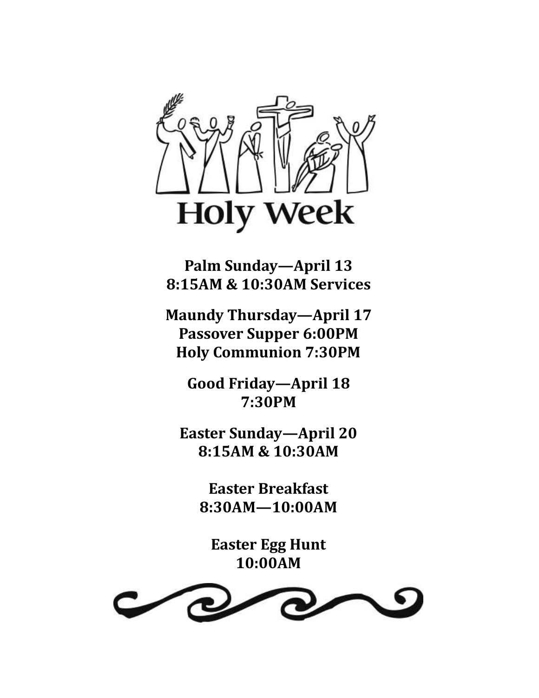

**Palm Sunday—April 13 8:15AM & 10:30AM Services**

**Maundy Thursday—April 17 Passover Supper 6:00PM Holy Communion 7:30PM**

> **Good Friday—April 18 7:30PM**

**Easter Sunday—April 20 8:15AM & 10:30AM** 

> **Easter Breakfast 8:30AM—10:00AM**

**Easter Egg Hunt 10:00AM**

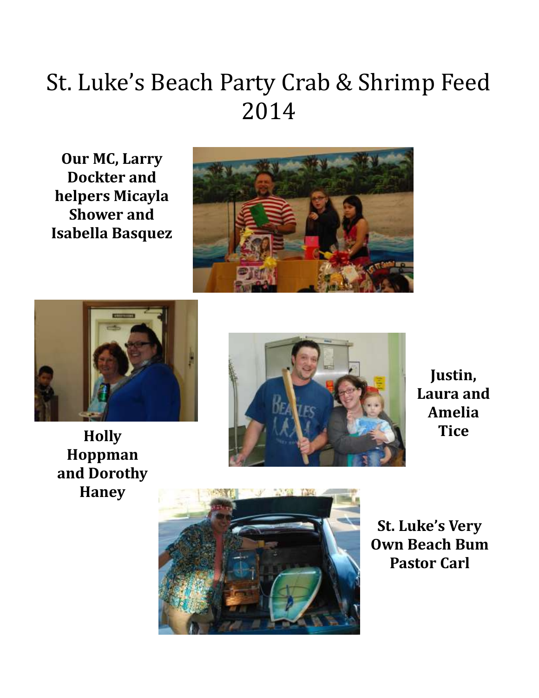# St. Luke's Beach Party Crab & Shrimp Feed 2014

**Our MC, Larry Dockter and helpers Micayla Shower and Isabella Basquez**







**Justin, Laura and Amelia Tice** 





**St. Luke's Very Own Beach Bum Pastor Carl**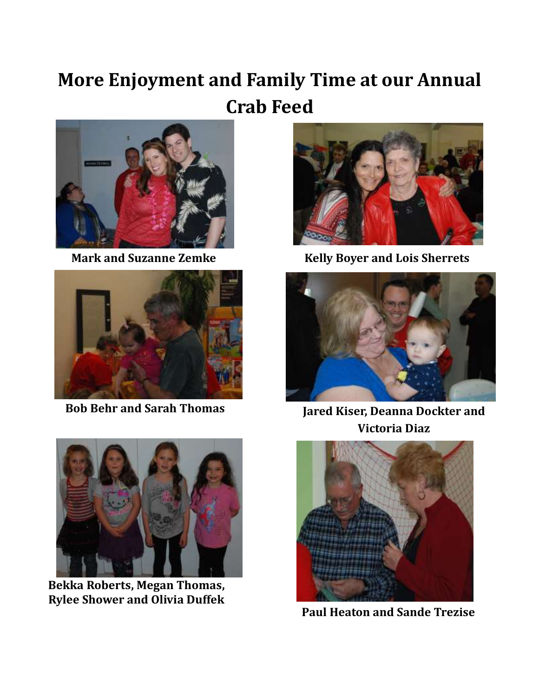# **More Enjoyment and Family Time at our Annual Crab Feed**







**Bekka Roberts, Megan Thomas, Rylee Shower and Olivia Duffek**



**Mark and Suzanne Zemke Kelly Boyer and Lois Sherrets**



**Bob Behr and Sarah Thomas Jared Kiser, Deanna Dockter and Victoria Diaz**



**Paul Heaton and Sande Trezise**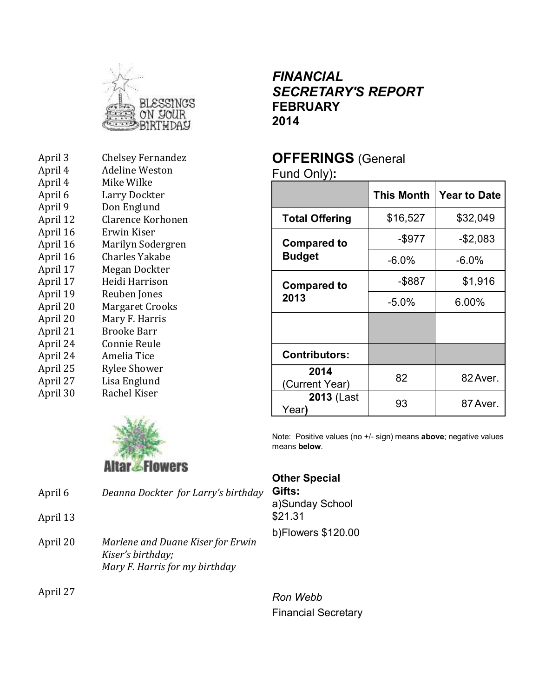

| April 3  | <b>Chelsey Fernandez</b> |
|----------|--------------------------|
| April 4  | <b>Adeline Weston</b>    |
| April 4  | Mike Wilke               |
| April 6  | Larry Dockter            |
| April 9  | Don Englund              |
| April 12 | <b>Clarence Korhonen</b> |
| April 16 | Erwin Kiser              |
| April 16 | Marilyn Sodergren        |
| April 16 | Charles Yakabe           |
| April 17 | Megan Dockter            |
| April 17 | Heidi Harrison           |
| April 19 | Reuben Jones             |
| April 20 | Margaret Crooks          |
| April 20 | Mary F. Harris           |
| April 21 | Brooke Barr              |
| April 24 | Connie Reule             |
| April 24 | Amelia Tice              |
| April 25 | <b>Rylee Shower</b>      |
| April 27 | Lisa Englund             |
| April 30 | Rachel Kiser             |
|          |                          |



| April 6  | Deanna Dockter for Larry's birthday                                                      |  |
|----------|------------------------------------------------------------------------------------------|--|
| April 13 |                                                                                          |  |
| April 20 | Marlene and Duane Kiser for Erwin<br>Kiser's birthday;<br>Mary F. Harris for my birthday |  |

April 27

### *FINANCIAL SECRETARY'S REPORT* **FEBRUARY 2014**

## **OFFERINGS** (General

Fund Only)**:**

|                        | This Month | <b>Year to Date</b> |  |
|------------------------|------------|---------------------|--|
| <b>Total Offering</b>  | \$16,527   | \$32,049            |  |
| <b>Compared to</b>     | -\$977     | $-$2,083$           |  |
| <b>Budget</b>          | $-6.0%$    | $-6.0%$             |  |
| <b>Compared to</b>     | -\$887     | \$1,916             |  |
| 2013                   | $-5.0%$    | $6.00\%$            |  |
|                        |            |                     |  |
| <b>Contributors:</b>   |            |                     |  |
| 2014<br>(Current Year) | 82         | 82 Aver.            |  |
| 2013 (Last<br>Year)    | 93         | 87 Aver.            |  |

Note: Positive values (no +/- sign) means **above**; negative values means **below**.

### **Other Special**

**Gifts:** a)Sunday School \$21.31 b)Flowers \$120.00

*Ron Webb* Financial Secretary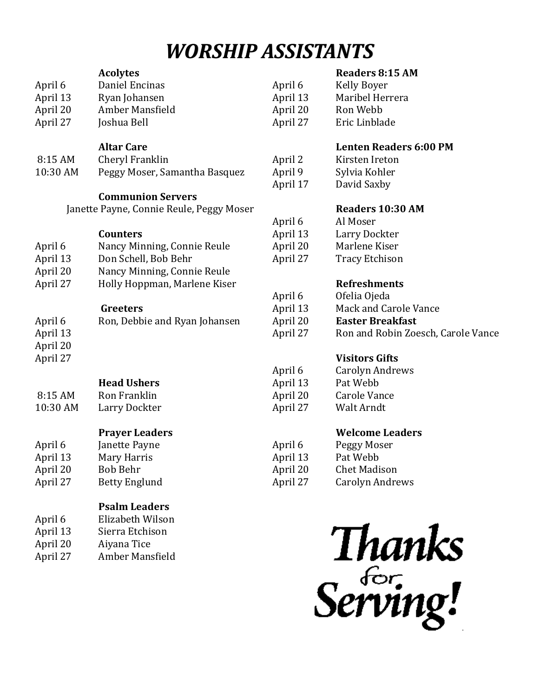# *WORSHIP ASSISTANTS*

|          | <b>Acolytes</b>                          |                     | <b>Readers 8:15 AM</b>             |
|----------|------------------------------------------|---------------------|------------------------------------|
| April 6  | Daniel Encinas                           | April 6             | <b>Kelly Boyer</b>                 |
| April 13 | Ryan Johansen                            | April 13            | Maribel Herrera                    |
| April 20 | Amber Mansfield                          | April 20            | Ron Webb                           |
| April 27 | Joshua Bell                              | April 27            | Eric Linblade                      |
|          | <b>Altar Care</b>                        |                     | <b>Lenten Readers 6:00 PM</b>      |
| 8:15 AM  | Cheryl Franklin                          | April 2             | Kirsten Ireton                     |
| 10:30 AM | Peggy Moser, Samantha Basquez            | April 9<br>April 17 | Sylvia Kohler<br>David Saxby       |
|          | <b>Communion Servers</b>                 |                     |                                    |
|          | Janette Payne, Connie Reule, Peggy Moser |                     | Readers 10:30 AM                   |
|          |                                          | April 6             | Al Moser                           |
|          | <b>Counters</b>                          | April 13            | Larry Dockter                      |
| April 6  | Nancy Minning, Connie Reule              | April 20            | Marlene Kiser                      |
| April 13 | Don Schell, Bob Behr                     | April 27            | <b>Tracy Etchison</b>              |
| April 20 | Nancy Minning, Connie Reule              |                     |                                    |
| April 27 | Holly Hoppman, Marlene Kiser             |                     | <b>Refreshments</b>                |
|          |                                          | April 6             | Ofelia Ojeda                       |
|          | Greeters                                 | April 13            | Mack and Carole Vance              |
| April 6  | Ron, Debbie and Ryan Johansen            | April 20            | <b>Easter Breakfast</b>            |
| April 13 |                                          | April 27            | Ron and Robin Zoesch, Carole Vance |
| April 20 |                                          |                     |                                    |
| April 27 |                                          |                     | <b>Visitors Gifts</b>              |
|          |                                          | April 6             | <b>Carolyn Andrews</b>             |
|          | <b>Head Ushers</b>                       | April 13            | Pat Webb                           |
| 8:15 AM  | Ron Franklin                             | April 20            | <b>Carole Vance</b>                |
| 10:30 AM | Larry Dockter                            | April 27            | Walt Arndt                         |
|          | <b>Prayer Leaders</b>                    |                     | <b>Welcome Leaders</b>             |
| April 6  | Janette Payne                            | April 6             | Peggy Moser                        |
| April 13 | Mary Harris                              | April 13            | Pat Webb                           |
| April 20 | <b>Bob Behr</b>                          | April 20            | <b>Chet Madison</b>                |
| April 27 | <b>Betty Englund</b>                     | April 27            | <b>Carolyn Andrews</b>             |
|          |                                          |                     |                                    |

**Psalm Leaders**

Amber Mansfield

April 6 Elizabeth Wilson April 13 Sierra Etchison

April 20 Aiyana Tice<br>April 27 Amber Mans